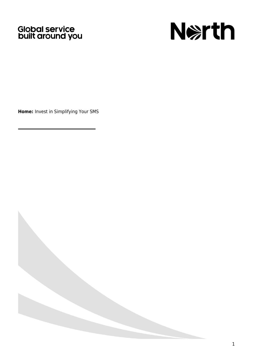# Global service<br>built around you



**Home:** Invest in Simplifying Your SMS

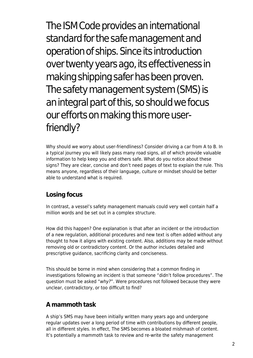The ISM Code provides an international standard for the safe management and operation of ships. Since its introduction over twenty years ago, its effectiveness in making shipping safer has been proven. The safety management system (SMS) is an integral part of this, so should we focus our efforts on making this more userfriendly?

Why should we worry about user-friendliness? Consider driving a car from A to B. In a typical journey you will likely pass many road signs, all of which provide valuable information to help keep you and others safe. What do you notice about these signs? They are clear, concise and don't need pages of text to explain the rule. This means anyone, regardless of their language, culture or mindset should be better able to understand what is required.

### **Losing focus**

In contrast, a vessel's safety management manuals could very well contain half a million words and be set out in a complex structure.

How did this happen? One explanation is that after an incident or the introduction of a new regulation, additional procedures and new text is often added without any thought to how it aligns with existing content. Also, additions may be made without removing old or contradictory content. Or the author includes detailed and prescriptive guidance, sacrificing clarity and conciseness.

This should be borne in mind when considering that a common finding in investigations following an incident is that someone "didn't follow procedures". The question must be asked "why?". Were procedures not followed because they were unclear, contradictory, or too difficult to find?

# **A mammoth task**

A ship's SMS may have been initially written many years ago and undergone regular updates over a long period of time with contributions by different people, all in different styles. In effect, The SMS becomes a bloated mishmash of content. It's potentially a mammoth task to review and re-write the safety management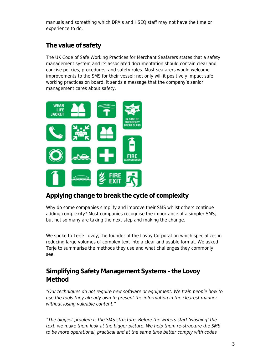manuals and something which DPA's and HSEQ staff may not have the time or experience to do.

# **The value of safety**

The UK Code of Safe Working Practices for Merchant Seafarers states that a safety management system and its associated documentation should contain clear and concise policies, procedures, and safety rules. Most seafarers would welcome improvements to the SMS for their vessel; not only will it positively impact safe working practices on board, it sends a message that the company's senior management cares about safety.



### **Applying change to break the cycle of complexity**

Why do some companies simplify and improve their SMS whilst others continue adding complexity? Most companies recognise the importance of a simpler SMS, but not so many are taking the next step and making the change.

We spoke to Terje Lovoy, the founder of the Lovoy Corporation which specializes in reducing large volumes of complex text into a clear and usable format. We asked Terje to summarise the methods they use and what challenges they commonly see.

### **Simplifying Safety Management Systems – the Lovoy Method**

"Our techniques do not require new software or equipment. We train people how to use the tools they already own to present the information in the clearest manner without losing valuable content."

"The biggest problem is the SMS structure. Before the writers start 'washing' the text, we make them look at the bigger picture. We help them re-structure the SMS to be more operational, practical and at the same time better comply with codes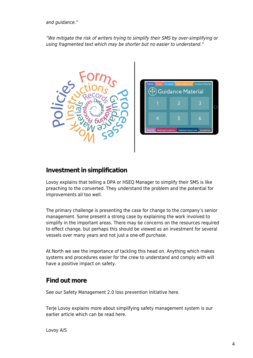and guidance."

"We mitigate the risk of writers trying to simplify their SMS by over-simplifying or using fragmented text which may be shorter but no easier to understand."





#### **Investment in simplification**

Lovoy explains that telling a DPA or HSEQ Manager to simplify their SMS is like preaching to the converted. They understand the problem and the potential for improvements all too well.

The primary challenge is presenting the case for change to the company's senior management. Some present a strong case by explaining the work involved to simplify in the important areas. There may be concerns on the resources required to effect change, but perhaps this should be viewed as an investment for several vessels over many years and not just a one-off purchase.

At North we see the importance of tackling this head on. Anything which makes systems and procedures easier for the crew to understand and comply with will have a positive impact on safety.

#### **Find out more**

See our Safety Management 2.0 loss prevention initiative [here](https://www.nepia.com/topics/safety-management-2-0/).

Terje Lovoy explains more about simplifying safety management system is our earlier article which can be read [here](https://www.nepia.com/articles/simplifying-safety-management-systems/).